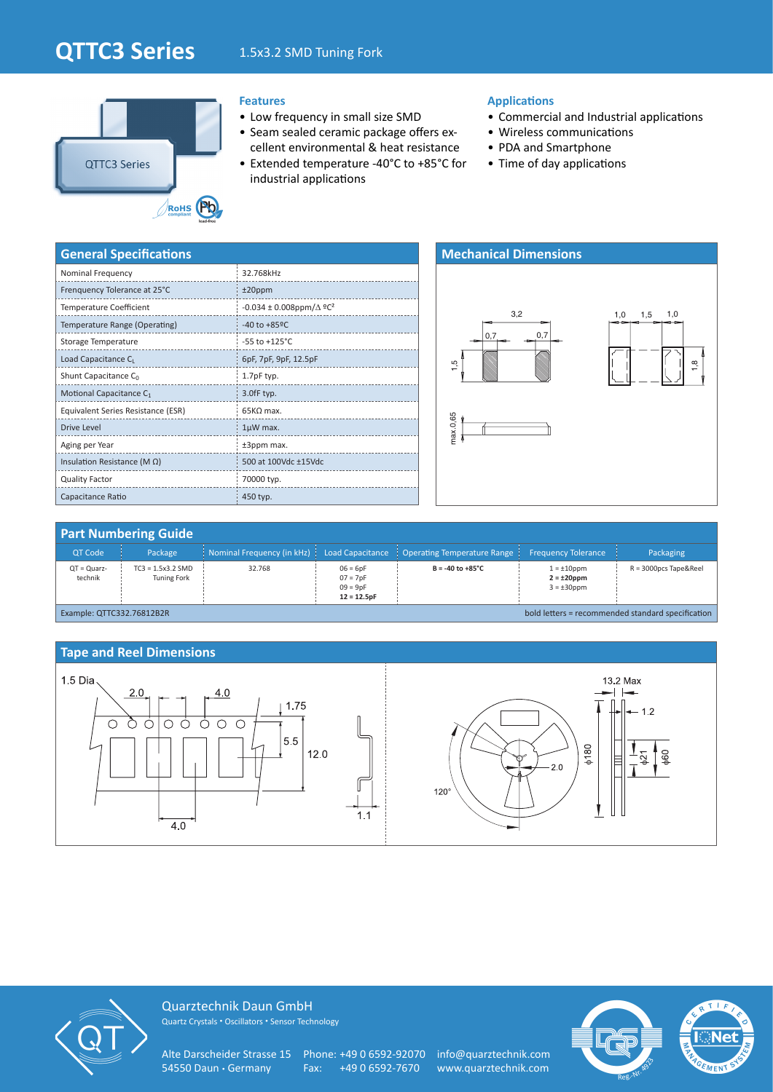# **QTTC3 Series** 1.5x3.2 SMD Tuning Fork



# **Features**

- Low frequency in small size SMD
- Seam sealed ceramic package offers excellent environmental & heat resistance
- Extended temperature -40°C to +85°C for industrial applications

### **Applications**

- Commercial and Industrial applications
- Wireless communications
- PDA and Smartphone
- Time of day applications

| <b>General Specifications</b>       |                                                  |
|-------------------------------------|--------------------------------------------------|
| Nominal Frequency                   | 32.768kHz                                        |
| Frenquency Tolerance at 25°C        | $±20$ ppm                                        |
| <b>Temperature Coefficient</b>      | $-0.034 \pm 0.008$ ppm/ $\Delta$ °C <sup>2</sup> |
| Temperature Range (Operating)       | $-40$ to $+85$ <sup>o</sup> C                    |
| Storage Temperature                 | $-55$ to $+125^{\circ}$ C                        |
| Load Capacitance CL                 | 6pF, 7pF, 9pF, 12.5pF                            |
| Shunt Capacitance C <sub>0</sub>    | 1.7pF typ.                                       |
| Motional Capacitance C <sub>1</sub> | 3.0fF typ.                                       |
| Equivalent Series Resistance (ESR)  | $65K\Omega$ max.                                 |
| Drive Level                         | $1\mu$ W max.                                    |
| Aging per Year                      | ±3ppm max.                                       |
| Insulation Resistance (M $\Omega$ ) | 500 at 100Vdc ±15Vdc                             |
| <b>Quality Factor</b>               | 70000 typ.                                       |
| Capacitance Ratio                   | 450 typ.                                         |



### **Part Numbering Guide** QT Code Package Nominal Frequency (in kHz) Load Capacitance Operating Temperature Range Frequency Tolerance Packaging QT = Quarztechnik TC3 = 1.5x3.2 SMD Tuning Fork 32.768 06 = 6pF 07 = 7pF 09 = 9pF **12 = 12.5pF**  $B = -40$  to  $+85^{\circ}C$ **2 = ±20ppm**  $3 = \pm 30$ ppm R = 3000pcs Tape&Reel Example: QTTC332.76812B2R bold letters = recommended standard specification

### **Tape and Reel Dimensions**





Quarztechnik Daun GmbH Quartz Crystals • Oscillators • Sensor Technology

Alte Darscheider Strasse 15 Phone: +49 0 6592-92070 info@quarztechnik.com 54550 Daun • Germany Fax: +49 0 6592-7670 www.quarztechnik.com